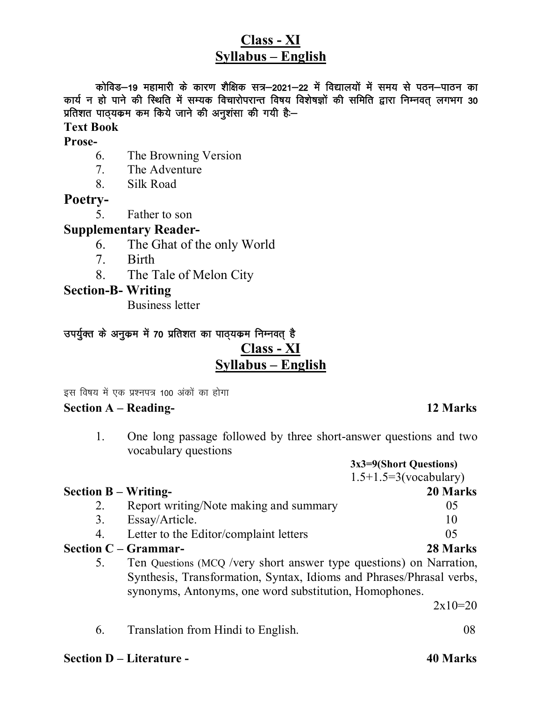## **Class - XI Syllabus – English**

कोविड–19 महामारी के कारण शैक्षिक सत्र–2021–22 में विद्यालयों में समय से पठन–पाठन का कार्य न हो पाने की स्थिति में सम्यक विचारोपरान्त विषय विशेषज्ञों की समिति द्वारा निम्नवत् लगभग 30 **प्रतिशत पाठ्यकम कम किये जाने की अनुशंसा की गयी है:-**

#### **Text Book Prose-**

- 6. The Browning Version
	- 7. The Adventure
	- 8. Silk Road

#### **Poetry-**

5. Father to son

#### **Supplementary Reader-**

- 6. The Ghat of the only World
- 7. Birth
- 8. The Tale of Melon City

#### **Section-B- Writing**

Business letter

# उपर्युक्त के अनुकम में 70 प्रतिशत का पाठ्**यकम निम्नवत्** है

#### **Class - XI Syllabus – English**

इस विषय में एक प्रश्नपत्र 100 अंकों का होगा

#### **Section A – Reading- 12 Marks**

#### 1. One long passage followed by three short-answer questions and two vocabulary questions

|                             |                                                                                                                                                                                                       | 3x3=9(Short Questions)<br>$1.5 + 1.5 = 3$ (vocabulary) |
|-----------------------------|-------------------------------------------------------------------------------------------------------------------------------------------------------------------------------------------------------|--------------------------------------------------------|
| <b>Section B – Writing-</b> |                                                                                                                                                                                                       | 20 Marks                                               |
| 2.                          | Report writing/Note making and summary                                                                                                                                                                | 05                                                     |
| 3.                          | Essay/Article.                                                                                                                                                                                        | 10                                                     |
| 4.                          | Letter to the Editor/complaint letters                                                                                                                                                                | 05                                                     |
|                             | Section $C - Grammar-$                                                                                                                                                                                | 28 Marks                                               |
| 5.                          | Ten Questions (MCQ /very short answer type questions) on Narration,<br>Synthesis, Transformation, Syntax, Idioms and Phrases/Phrasal verbs,<br>synonyms, Antonyms, one word substitution, Homophones. |                                                        |
|                             |                                                                                                                                                                                                       | $2x10=20$                                              |
| 6.                          | Translation from Hindi to English.                                                                                                                                                                    | 08                                                     |

#### **Section D – Literature - 40 Marks**